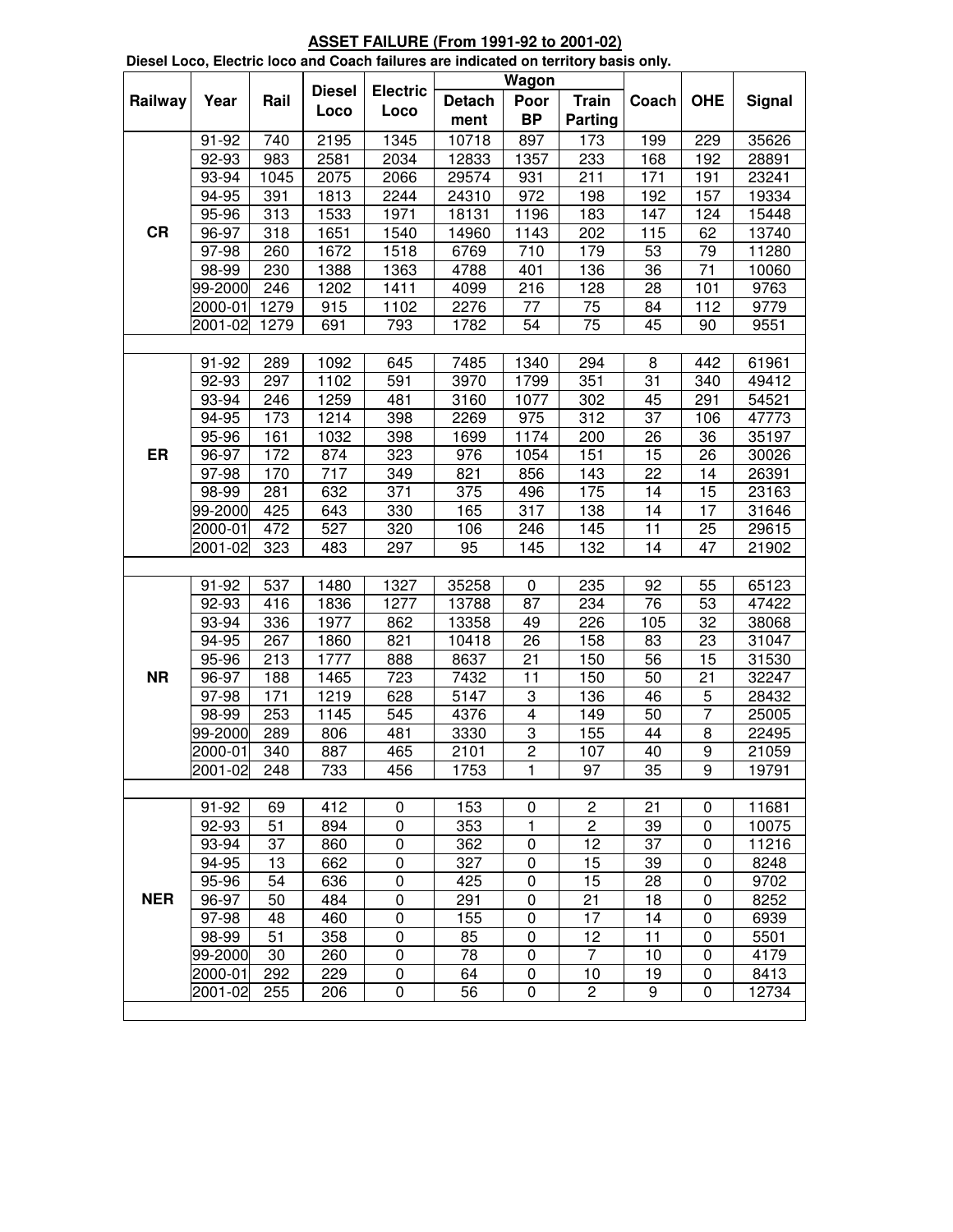|            |                    |      |                  | Dieser Loco, Liectric loco and Coach laitures are indicated on territory basis only. |               | Wagon          |                      |         |                  |               |
|------------|--------------------|------|------------------|--------------------------------------------------------------------------------------|---------------|----------------|----------------------|---------|------------------|---------------|
| Railway    | Year               | Rail | <b>Diesel</b>    | <b>Electric</b>                                                                      | <b>Detach</b> | Poor           | <b>Train</b>         | Coach   | <b>OHE</b>       | <b>Signal</b> |
|            |                    |      | Loco             | Loco                                                                                 | ment          | <b>BP</b>      | Parting              |         |                  |               |
|            | 91-92              | 740  | 2195             | 1345                                                                                 | 10718         | 897            | 173                  | 199     | 229              | 35626         |
|            | 92-93              | 983  | 2581             | 2034                                                                                 | 12833         | 1357           | 233                  | 168     | 192              | 28891         |
|            | 93-94              | 1045 | 2075             | 2066                                                                                 | 29574         | 931            | 211                  | 171     | 191              | 23241         |
|            | 94-95              | 391  | 1813             | 2244                                                                                 | 24310         | 972            | 198                  | 192     | 157              | 19334         |
|            | 95-96              | 313  | 1533             | 1971                                                                                 | 18131         | 1196           | 183                  | 147     | 124              | 15448         |
| <b>CR</b>  | 96-97              | 318  | 1651             | 1540                                                                                 | 14960         | 1143           | 202                  | 115     | 62               | 13740         |
|            | 97-98              | 260  | 1672             | 1518                                                                                 | 6769          | 710            | 179                  | 53      | 79               | 11280         |
|            | 98-99              | 230  | 1388             | 1363                                                                                 | 4788          | 401            | 136                  | 36      | 71               | 10060         |
|            | 99-2000            | 246  | 1202             | 1411                                                                                 | 4099          | 216            | 128                  | 28      | 101              | 9763          |
|            | 2000-01            | 1279 | 915              | 1102                                                                                 | 2276          | 77             | 75                   | 84      | 112              | 9779          |
|            | 2001-02            | 1279 | 691              | 793                                                                                  | 1782          | 54             | 75                   | 45      | 90               | 9551          |
|            |                    |      |                  |                                                                                      |               |                |                      |         |                  |               |
|            | 91-92              | 289  | 1092             | 645                                                                                  | 7485          | 1340           | 294                  | 8       | 442              | 61961         |
|            | 92-93              | 297  | 1102             | 591                                                                                  | 3970          | 1799           | 351                  | 31      | 340              | 49412         |
|            | 93-94              | 246  | 1259             | 481                                                                                  | 3160          | 1077           | 302                  | 45      | 291              | 54521         |
|            | 94-95              | 173  | 1214             | 398                                                                                  | 2269          | 975            | 312                  | 37      | 106              | 47773         |
|            | 95-96              | 161  | 1032             | 398                                                                                  | 1699          | 1174           | 200                  | 26      | 36               | 35197         |
| ER         | 96-97              | 172  | 874              | 323                                                                                  | 976           | 1054           | 151                  | 15      | 26               | 30026         |
|            | 97-98              | 170  | $\overline{717}$ | 349                                                                                  | 821           | 856            | 143                  | 22      | 14               | 26391         |
|            | 98-99              | 281  | 632              | 371                                                                                  | 375           | 496            | 175                  | 14      | 15               | 23163         |
|            | 99-2000            | 425  | 643              | 330                                                                                  | 165           | 317            | 138                  | 14      | 17               | 31646         |
|            | 2000-01            | 472  | 527              | 320                                                                                  | 106           | 246            | 145                  | 11      | 25               | 29615         |
|            | 2001-02            | 323  | 483              | 297                                                                                  | 95            | 145            | $\overline{132}$     | 14      | 47               | 21902         |
|            |                    |      |                  |                                                                                      |               |                |                      |         |                  |               |
|            | 91-92              | 537  | 1480             | 1327                                                                                 | 35258         | 0              | 235                  | 92      | 55               | 65123         |
|            | 92-93              | 416  | 1836             | 1277                                                                                 | 13788         | 87             | 234                  | 76      | 53               | 47422         |
|            | 93-94              | 336  | 1977             | 862                                                                                  | 13358         | 49             | 226                  | 105     | 32               | 38068         |
|            | 94-95              | 267  | 1860             | 821                                                                                  | 10418         | 26             | 158                  | 83      | 23               | 31047         |
|            | 95-96              | 213  | 1777             | 888                                                                                  | 8637          | 21             | 150                  | 56      | 15               | 31530         |
| <b>NR</b>  | 96-97              | 188  | 1465             | 723                                                                                  | 7432          | 11             | 150                  | 50      | 21               | 32247         |
|            | 97-98              | 171  | 1219             | 628                                                                                  | 5147          | 3              | 136                  | 46      | 5                | 28432         |
|            | 98-99              | 253  | 1145             | 545                                                                                  | 4376          | $\overline{4}$ | 149                  | 50      | $\overline{7}$   | 25005         |
|            | 99-2000            | 289  | 806              | 481                                                                                  | 3330          | 3              | 155                  | 44      | 8                | 22495         |
|            | 2000-01            | 340  | 887              | 465                                                                                  | 2101          | $\overline{2}$ | 107                  | 40      | $\boldsymbol{9}$ | 21059         |
|            | 2001-02            | 248  | 733              | 456                                                                                  | 1753          | 1              | 97                   | 35      | 9                | 19791         |
|            |                    |      |                  |                                                                                      |               |                |                      |         |                  |               |
|            | 91-92              | 69   | 412              | 0                                                                                    | 153           | 0              | $\overline{c}$       | 21      | 0                | 11681         |
|            | 92-93              | 51   | 894              | $\mathbf 0$                                                                          | 353           | 1              | $\overline{2}$       | 39      | $\mathbf 0$      | 10075         |
|            | 93-94              | 37   | 860              | $\pmb{0}$                                                                            | 362           | 0              | 12                   | 37      | $\pmb{0}$        | 11216         |
|            | 94-95              | 13   | 662              | $\pmb{0}$                                                                            | 327           | $\mathbf 0$    | 15                   | 39      | $\boldsymbol{0}$ | 8248          |
|            | 95-96              | 54   | 636              | 0                                                                                    | 425           | 0              | 15                   | 28      | 0                | 9702          |
| <b>NER</b> | 96-97              | 50   | 484              | 0                                                                                    | 291           | 0              | 21                   | 18      | 0                | 8252          |
|            | 97-98              | 48   | 460              | 0                                                                                    | 155           | 0              | 17                   | 14      | $\pmb{0}$        | 6939          |
|            | 98-99              | 51   | 358              | $\mathbf 0$                                                                          | 85            | $\mathbf 0$    | 12                   | 11      | $\mathbf 0$      | 5501          |
|            | 99-2000            | 30   | 260              | $\pmb{0}$                                                                            | 78            | 0              | $\overline{7}$       | 10      | $\mathbf 0$      | 4179          |
|            | 2000-01<br>2001-02 | 292  | 229              | $\pmb{0}$                                                                            | 64            | $\pmb{0}$      | 10<br>$\overline{c}$ | 19<br>9 | $\pmb{0}$<br>0   | 8413<br>12734 |
|            |                    | 255  | 206              | 0                                                                                    | 56            | 0              |                      |         |                  |               |
|            |                    |      |                  |                                                                                      |               |                |                      |         |                  |               |

**ASSET FAILURE (From 1991-92 to 2001-02) Diesel Loco, Electric loco and Coach failures are indicated on territory basis only.**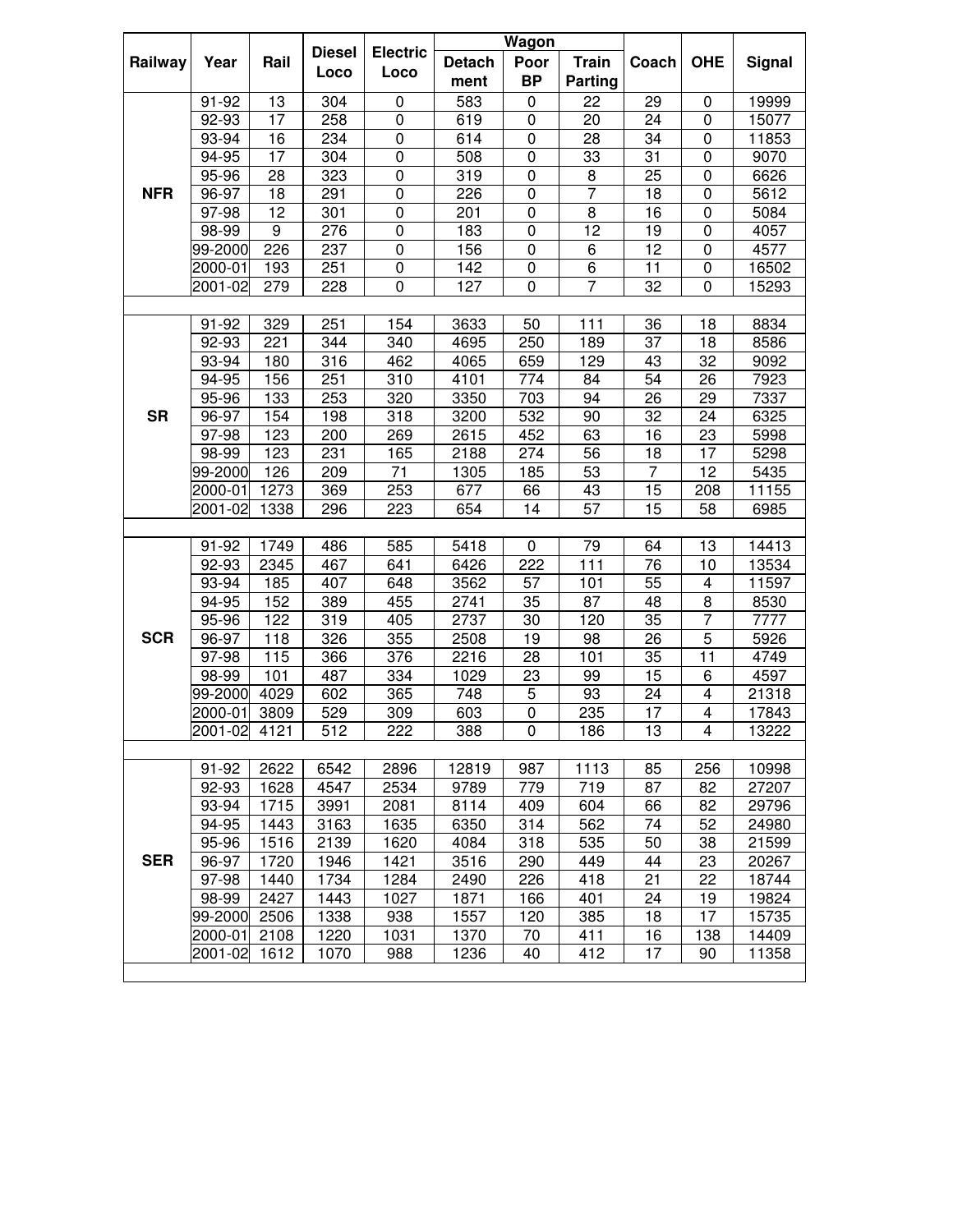|            |                |              |               |                     |               | <b>Wagon</b>   |              |                 |                         |                |
|------------|----------------|--------------|---------------|---------------------|---------------|----------------|--------------|-----------------|-------------------------|----------------|
| Railway    | Year           | Rail         | <b>Diesel</b> | <b>Electric</b>     | <b>Detach</b> | Poor           | <b>Train</b> | Coach           | <b>OHE</b>              | Signal         |
|            |                |              | Loco          | Loco                | ment          | <b>BP</b>      | Parting      |                 |                         |                |
|            | 91-92          | 13           | 304           | 0                   | 583           | $\pmb{0}$      | 22           | 29              | 0                       | 19999          |
|            | 92-93          | 17           | 258           | $\pmb{0}$           | 619           | $\pmb{0}$      | 20           | 24              | 0                       | 15077          |
|            | 93-94          | 16           | 234           | $\pmb{0}$           | 614           | $\pmb{0}$      | 28           | 34              | 0                       | 11853          |
|            | 94-95          | 17           | 304           | $\mathsf{O}\xspace$ | 508           | $\pmb{0}$      | 33           | 31              | 0                       | 9070           |
|            | 95-96          | 28           | 323           | $\pmb{0}$           | 319           | $\pmb{0}$      | 8            | 25              | $\pmb{0}$               | 6626           |
| <b>NFR</b> | 96-97          | 18           | 291           | $\pmb{0}$           | 226           | $\pmb{0}$      | 7            | 18              | $\pmb{0}$               | 5612           |
|            | 97-98          | 12           | 301           | $\pmb{0}$           | 201           | $\pmb{0}$      | 8            | 16              | $\pmb{0}$               | 5084           |
|            | 98-99          | 9            | 276           | 0                   | 183           | 0              | 12           | 19              | 0                       | 4057           |
|            | 99-2000        | 226          | 237           | 0                   | 156           | 0              | 6            | 12              | 0                       | 4577           |
|            | 2000-01        | 193          | 251           | 0                   | 142           | 0              | 6            | 11              | 0                       | 16502          |
|            | 2001-02        | 279          | 228           | $\mathbf 0$         | 127           | 0              | 7            | 32              | 0                       | 15293          |
|            |                |              |               |                     |               |                |              |                 |                         |                |
|            | 91-92          | 329          | 251           | 154                 | 3633          | 50             | 111          | 36              | 18                      | 8834           |
|            | 92-93          | 221          | 344           | 340                 | 4695          | 250            | 189          | 37              | 18                      | 8586           |
|            | 93-94          | 180          | 316           | 462                 | 4065          | 659            | 129          | 43              | 32                      | 9092           |
|            | 94-95          | 156          | 251           | 310                 | 4101          | 774            | 84           | 54              | 26                      | 7923           |
|            | 95-96          | 133          | 253           | 320                 | 3350          | 703            | 94           | 26              | 29                      | 7337           |
| <b>SR</b>  | 96-97          | 154          | 198           | 318                 | 3200          | 532            | 90           | 32              | 24                      | 6325           |
|            | 97-98          | 123          | 200           | 269                 | 2615          | 452            | 63           | 16              | 23                      | 5998           |
|            | 98-99          | 123          | 231           | 165                 | 2188          | 274            | 56           | 18              | 17                      | 5298           |
|            | 99-2000        | 126          | 209           | 71                  | 1305          | 185            | 53           | 7               | 12                      | 5435           |
|            | 2000-01        | 1273         | 369           | 253                 | 677           | 66             | 43           | 15              | 208                     | 11155          |
|            | 2001-02        | 1338         | 296           | 223                 | 654           | 14             | 57           | 15              | 58                      | 6985           |
|            |                |              |               |                     |               |                |              |                 |                         |                |
|            | 91-92          | 1749         | 486           | 585                 | 5418          | 0              | 79           | 64              | 13                      | 14413          |
|            | 92-93          | 2345         | 467           | 641                 | 6426          | 222            | 111          | 76              | 10                      | 13534          |
|            | 93-94          | 185          | 407           | 648                 | 3562          | 57             | 101          | 55              | 4                       | 11597          |
|            | 94-95          | 152          | 389           | 455                 | 2741          | 35             | 87           | 48              | 8                       | 8530           |
|            | 95-96          | 122          | 319           | 405                 | 2737          | 30             | 120          | 35              | $\overline{7}$          | 7777           |
| <b>SCR</b> | 96-97          | 118          | 326           | 355                 | 2508          | 19             | 98           | 26              | 5                       | 5926           |
|            | 97-98          | 115          | 366           | 376                 | 2216          | 28             | 101          | 35              | 11                      | 4749           |
|            | 98-99          | 101          | 487           | 334                 | 1029          | 23             | 99           | 15              | 6                       | 4597           |
|            | 99-2000        | 4029         | 602           | 365                 | 748           | 5              | 93           | 24              | $\overline{\mathbf{4}}$ | 21318          |
|            | 2000-01        | 3809         | 529           | 309                 | 603           | $\pmb{0}$      | 235          | 17              | $\overline{\mathbf{4}}$ | 17843          |
|            | 2001-02        | 4121         | 512           | 222                 | 388           | $\overline{0}$ | 186          | $\overline{13}$ | $\overline{\mathbf{4}}$ | 13222          |
|            |                |              |               |                     |               |                |              |                 |                         |                |
|            | 91-92<br>92-93 | 2622<br>1628 | 6542<br>4547  | 2896<br>2534        | 12819<br>9789 | 987<br>779     | 1113<br>719  | 85<br>87        | 256<br>82               | 10998<br>27207 |
|            | 93-94          | 1715         | 3991          | 2081                | 8114          | 409            | 604          |                 | 82                      | 29796          |
|            | 94-95          | 1443         | 3163          | 1635                | 6350          | 314            | 562          | 66<br>74        | 52                      | 24980          |
|            | 95-96          | 1516         | 2139          | 1620                | 4084          | 318            | 535          | 50              | 38                      | 21599          |
| <b>SER</b> | 96-97          | 1720         | 1946          | 1421                | 3516          | 290            | 449          | 44              | 23                      | 20267          |
|            | 97-98          | 1440         | 1734          | 1284                | 2490          | 226            | 418          | 21              | 22                      | 18744          |
|            | 98-99          | 2427         | 1443          | 1027                | 1871          | 166            | 401          | 24              | 19                      | 19824          |
|            | 99-2000        | 2506         | 1338          | 938                 | 1557          | 120            | 385          | 18              | $\overline{17}$         | 15735          |
|            | 2000-01        | 2108         | 1220          | 1031                | 1370          | 70             | 411          | 16              | 138                     | 14409          |
|            | 2001-02        | 1612         | 1070          | 988                 | 1236          | 40             | 412          | 17              | 90                      | 11358          |
|            |                |              |               |                     |               |                |              |                 |                         |                |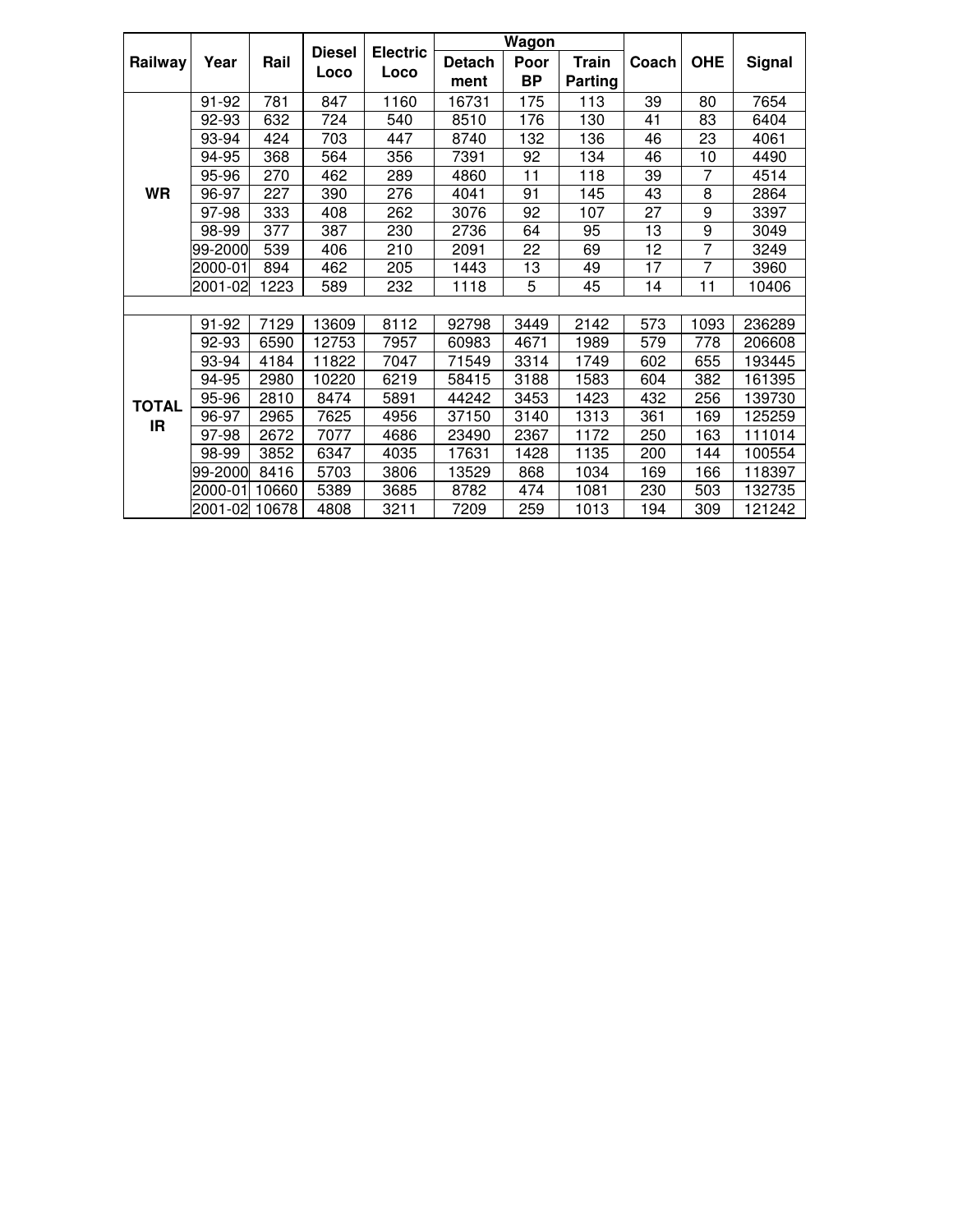|              |         |       |               |                 |               | <b>Wagon</b> |              |       |                |               |
|--------------|---------|-------|---------------|-----------------|---------------|--------------|--------------|-------|----------------|---------------|
| Railway      | Year    | Rail  | <b>Diesel</b> | <b>Electric</b> | <b>Detach</b> | Poor         | <b>Train</b> | Coach | <b>OHE</b>     | <b>Signal</b> |
|              |         |       | Loco          | Loco            | ment          | <b>BP</b>    | Parting      |       |                |               |
|              | 91-92   | 781   | 847           | 1160            | 16731         | 175          | 113          | 39    | 80             | 7654          |
|              | 92-93   | 632   | 724           | 540             | 8510          | 176          | 130          | 41    | 83             | 6404          |
|              | 93-94   | 424   | 703           | 447             | 8740          | 132          | 136          | 46    | 23             | 4061          |
|              | 94-95   | 368   | 564           | 356             | 7391          | 92           | 134          | 46    | 10             | 4490          |
|              | 95-96   | 270   | 462           | 289             | 4860          | 11           | 118          | 39    | 7              | 4514          |
| <b>WR</b>    | 96-97   | 227   | 390           | 276             | 4041          | 91           | 145          | 43    | 8              | 2864          |
|              | 97-98   | 333   | 408           | 262             | 3076          | 92           | 107          | 27    | 9              | 3397          |
|              | 98-99   | 377   | 387           | 230             | 2736          | 64           | 95           | 13    | 9              | 3049          |
|              | 99-2000 | 539   | 406           | 210             | 2091          | 22           | 69           | 12    | $\overline{7}$ | 3249          |
|              | 2000-01 | 894   | 462           | 205             | 1443          | 13           | 49           | 17    | 7              | 3960          |
|              | 2001-02 | 1223  | 589           | 232             | 1118          | 5            | 45           | 14    | 11             | 10406         |
|              |         |       |               |                 |               |              |              |       |                |               |
|              | 91-92   | 7129  | 13609         | 8112            | 92798         | 3449         | 2142         | 573   | 1093           | 236289        |
|              | 92-93   | 6590  | 12753         | 7957            | 60983         | 4671         | 1989         | 579   | 778            | 206608        |
|              | 93-94   | 4184  | 11822         | 7047            | 71549         | 3314         | 1749         | 602   | 655            | 193445        |
|              | 94-95   | 2980  | 10220         | 6219            | 58415         | 3188         | 1583         | 604   | 382            | 161395        |
| <b>TOTAL</b> | 95-96   | 2810  | 8474          | 5891            | 44242         | 3453         | 1423         | 432   | 256            | 139730        |
| IR           | 96-97   | 2965  | 7625          | 4956            | 37150         | 3140         | 1313         | 361   | 169            | 125259        |
|              | 97-98   | 2672  | 7077          | 4686            | 23490         | 2367         | 1172         | 250   | 163            | 111014        |
|              | 98-99   | 3852  | 6347          | 4035            | 17631         | 1428         | 1135         | 200   | 144            | 100554        |
|              | 99-2000 | 8416  | 5703          | 3806            | 13529         | 868          | 1034         | 169   | 166            | 118397        |
|              | 2000-01 | 10660 | 5389          | 3685            | 8782          | 474          | 1081         | 230   | 503            | 132735        |
|              | 2001-02 | 10678 | 4808          | 3211            | 7209          | 259          | 1013         | 194   | 309            | 121242        |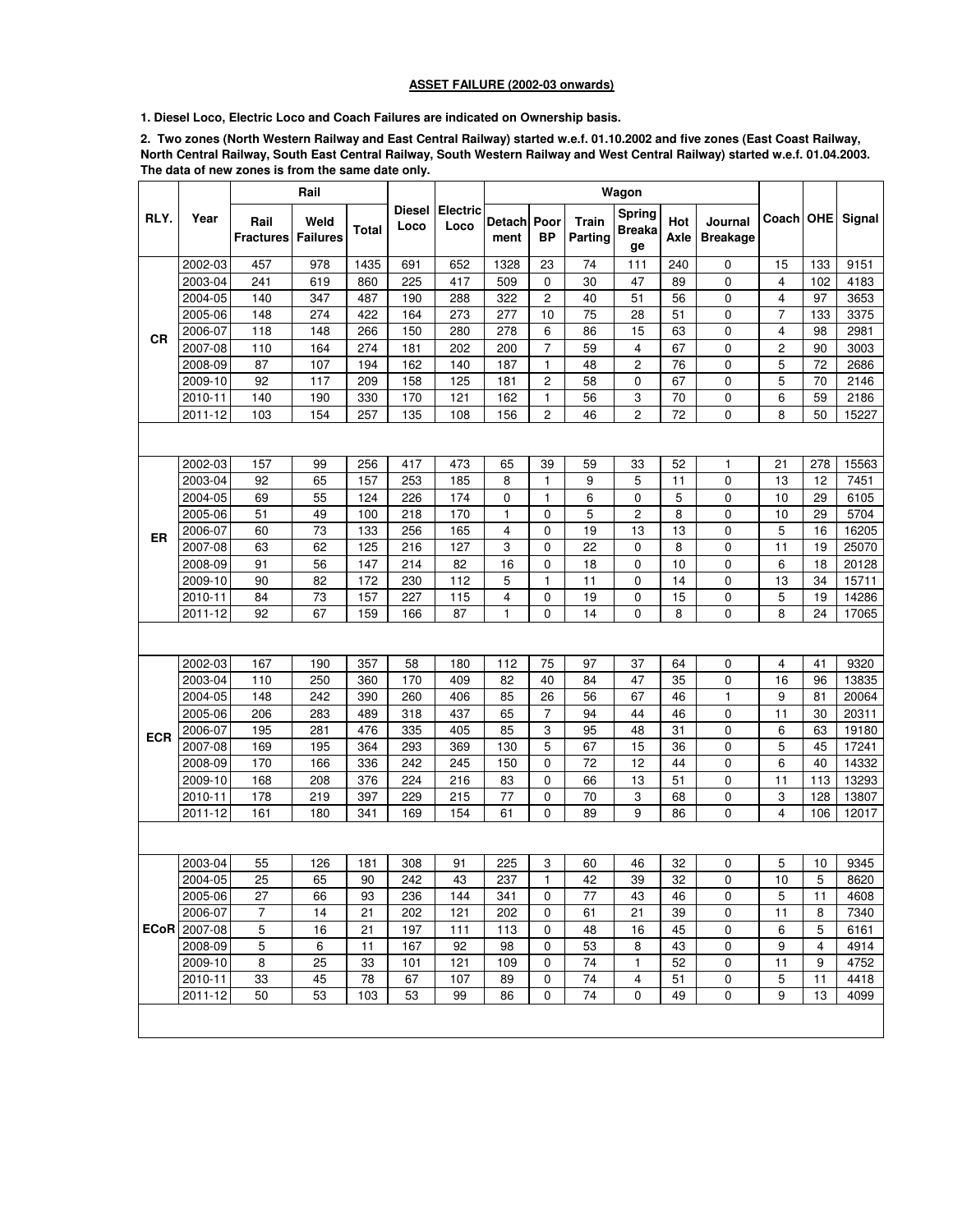## **ASSET FAILURE (2002-03 onwards)**

**1. Diesel Loco, Electric Loco and Coach Failures are indicated on Ownership basis.**

**2. Two zones (North Western Railway and East Central Railway) started w.e.f. 01.10.2002 and five zones (East Coast Railway, North Central Railway, South East Central Railway, South Western Railway and West Central Railway) started w.e.f. 01.04.2003. The data of new zones is from the same date only.** 

|            |                     |                            | Rail |        |                       |                         |                |                   |                  | Wagon                         |             |                            |                         |     |        |
|------------|---------------------|----------------------------|------|--------|-----------------------|-------------------------|----------------|-------------------|------------------|-------------------------------|-------------|----------------------------|-------------------------|-----|--------|
| RLY.       | Year                | Rail<br>Fractures Failures | Weld | Total  | <b>Diesel</b><br>Loco | <b>Electric</b><br>Loco | Detach<br>ment | Poor<br><b>BP</b> | Train<br>Parting | Spring<br><b>Breaka</b><br>ge | Hot<br>Axle | Journal<br><b>Breakage</b> | Coach   OHE             |     | Signal |
|            | 2002-03             | 457                        | 978  | 1435   | 691                   | 652                     | 1328           | 23                | 74               | 111                           | 240         | 0                          | 15                      | 133 | 9151   |
|            | 2003-04             | 241                        | 619  | 860    | 225                   | 417                     | 509            | $\mathbf 0$       | 30               | 47                            | 89          | 0                          | $\overline{4}$          | 102 | 4183   |
|            | 2004-05             | 140                        | 347  | 487    | 190                   | 288                     | 322            | 2                 | 40               | 51                            | 56          | 0                          | 4                       | 97  | 3653   |
|            | 2005-06             | 148                        | 274  | 422    | 164                   | 273                     | 277            | 10                | 75               | 28                            | 51          | 0                          | $\overline{7}$          | 133 | 3375   |
| СR         | 2006-07             | 118                        | 148  | 266    | 150                   | 280                     | 278            | 6                 | 86               | 15                            | 63          | 0                          | 4                       | 98  | 2981   |
|            | 2007-08             | 110                        | 164  | 274    | 181                   | 202                     | 200            | $\overline{7}$    | 59               | 4                             | 67          | 0                          | $\mathbf 2$             | 90  | 3003   |
|            | 2008-09             | 87                         | 107  | 194    | 162                   | 140                     | 187            | 1                 | 48               | 2                             | 76          | 0                          | 5                       | 72  | 2686   |
|            | 2009-10             | 92                         | 117  | 209    | 158                   | 125                     | 181            | $\overline{c}$    | 58               | 0                             | 67          | 0                          | 5                       | 70  | 2146   |
|            | 2010-11             | 140                        | 190  | 330    | 170                   | 121                     | 162            | 1                 | 56               | 3                             | 70          | $\mathbf 0$                | 6                       | 59  | 2186   |
|            | 2011-12             | 103                        | 154  | 257    | 135                   | 108                     | 156            | $\overline{c}$    | 46               | $\overline{c}$                | 72          | 0                          | 8                       | 50  | 15227  |
|            |                     |                            |      |        |                       |                         |                |                   |                  |                               |             |                            |                         |     |        |
|            | 2002-03             | 157                        | 99   | 256    | 417                   | 473                     | 65             | 39                | 59               | 33                            | 52          | 1                          | 21                      | 278 | 15563  |
|            | 2003-04             | 92                         | 65   | 157    | 253                   | 185                     | 8              | $\mathbf{1}$      | 9                | 5                             | 11          | 0                          | 13                      | 12  | 7451   |
|            | 2004-05             | 69                         | 55   | 124    | 226                   | 174                     | 0              | 1                 | 6                | 0                             | 5           | 0                          | 10                      | 29  | 6105   |
|            | 2005-06             | 51                         | 49   | 100    | 218                   | 170                     | 1              | $\mathbf 0$       | 5                | 2                             | 8           | 0                          | 10                      | 29  | 5704   |
| ER         | 2006-07             | 60                         | 73   | 133    | 256                   | 165                     | 4              | $\mathbf 0$       | 19               | 13                            | 13          | 0                          | 5                       | 16  | 16205  |
|            | 2007-08             | 63                         | 62   | 125    | 216                   | 127                     | 3              | $\mathbf 0$       | 22               | 0                             | 8           | $\mathbf 0$                | 11                      | 19  | 25070  |
|            | 2008-09             | 91                         | 56   | 147    | 214                   | 82                      | 16             | $\mathbf 0$       | 18               | 0                             | 10          | $\mathbf 0$                | 6                       | 18  | 20128  |
|            | 2009-10             | 90                         | 82   | 172    | 230                   | 112                     | 5              | 1                 | 11               | 0                             | 14          | 0                          | 13                      | 34  | 15711  |
|            | 2010-11             | 84                         | 73   | 157    | 227                   | 115                     | 4              | 0                 | 19               | 0                             | 15          | 0                          | 5                       | 19  | 14286  |
|            | 2011-12             | 92                         | 67   | 159    | 166                   | 87                      | 1              | $\mathbf 0$       | 14               | 0                             | 8           | 0                          | 8                       | 24  | 17065  |
|            |                     |                            |      |        |                       |                         |                |                   |                  |                               |             |                            |                         |     |        |
|            | 2002-03             | 167                        | 190  | 357    | 58                    | 180                     | 112            | 75                | 97               | 37                            | 64          | 0                          | 4                       | 41  | 9320   |
|            | 2003-04             | 110                        | 250  | 360    | 170                   | 409                     | 82             | 40                | 84               | 47                            | 35          | 0                          | 16                      | 96  | 13835  |
|            | 2004-05             | 148                        | 242  | 390    | 260                   | 406                     | 85             | 26                | 56               | 67                            | 46          | 1                          | 9                       | 81  | 20064  |
|            | 2005-06             | 206                        | 283  | 489    | 318                   | 437                     | 65             | 7                 | 94               | 44                            | 46          | 0                          | 11                      | 30  | 20311  |
| <b>ECR</b> | 2006-07             | 195                        | 281  | 476    | 335                   | 405                     | 85             | 3                 | 95               | 48                            | 31          | 0                          | 6                       | 63  | 19180  |
|            | 2007-08             | 169                        | 195  | 364    | 293                   | 369                     | 130            | 5                 | 67               | 15                            | 36          | 0                          | 5                       | 45  | 17241  |
|            | 2008-09             | 170                        | 166  | 336    | 242                   | 245                     | 150            | $\mathbf 0$       | 72               | 12                            | 44          | 0                          | 6                       | 40  | 14332  |
|            | 2009-10             | 168                        | 208  | 376    | 224                   | 216                     | 83             | $\mathbf 0$       | 66               | 13                            | 51          | 0                          | 11                      | 113 | 13293  |
|            | 2010-11             | 178                        | 219  | 397    | 229                   | 215                     | 77             | 0                 | 70               | 3                             | 68          | 0                          | 3                       | 128 | 13807  |
|            | 2011-12             | 161                        | 180  | 341    | 169                   | 154                     | 61             | $\mathbf 0$       | 89               | 9                             | 86          | 0                          | $\overline{\mathbf{4}}$ | 106 | 12017  |
|            |                     |                            |      |        |                       |                         |                |                   |                  |                               |             |                            |                         |     |        |
|            | 2003-04             | 55                         | 126  | 181    | 308                   | 91                      | 225            | 3                 | 60               | 46                            | 32          | 0                          | 5                       | 10  | 9345   |
|            | 2004-05             | 25                         | 65   | $90\,$ | 242                   | 43                      | 237            | $\mathbf{1}$      | 42               | 39                            | 32          | 0                          | $10$                    | 5   | 8620   |
|            | 2005-06             | 27                         | 66   | 93     | 236                   | 144                     | 341            | 0                 | 77               | 43                            | 46          | 0                          | 5                       | 11  | 4608   |
|            | 2006-07             | 7                          | 14   | 21     | 202                   | 121                     | 202            | 0                 | 61               | 21                            | 39          | 0                          | 11                      | 8   | 7340   |
|            | <b>ECoR</b> 2007-08 | 5                          | 16   | 21     | 197                   | 111                     | 113            | 0                 | 48               | 16                            | 45          | 0                          | 6                       | 5   | 6161   |
|            | 2008-09             | 5                          | 6    | 11     | 167                   | 92                      | 98             | $\mathbf 0$       | 53               | 8                             | 43          | 0                          | 9                       | 4   | 4914   |
|            | $2009 - 10$         | 8                          | 25   | 33     | 101                   | 121                     | 109            | 0                 | 74               | 1                             | 52          | 0                          | 11                      | 9   | 4752   |
|            | 2010-11             | 33                         | 45   | 78     | 67                    | 107                     | 89             | 0                 | 74               | 4                             | 51          | 0                          | 5                       | 11  | 4418   |
|            | 2011-12             | 50                         | 53   | 103    | 53                    | 99                      | 86             | $\mathbf 0$       | 74               | 0                             | 49          | 0                          | 9                       | 13  | 4099   |
|            |                     |                            |      |        |                       |                         |                |                   |                  |                               |             |                            |                         |     |        |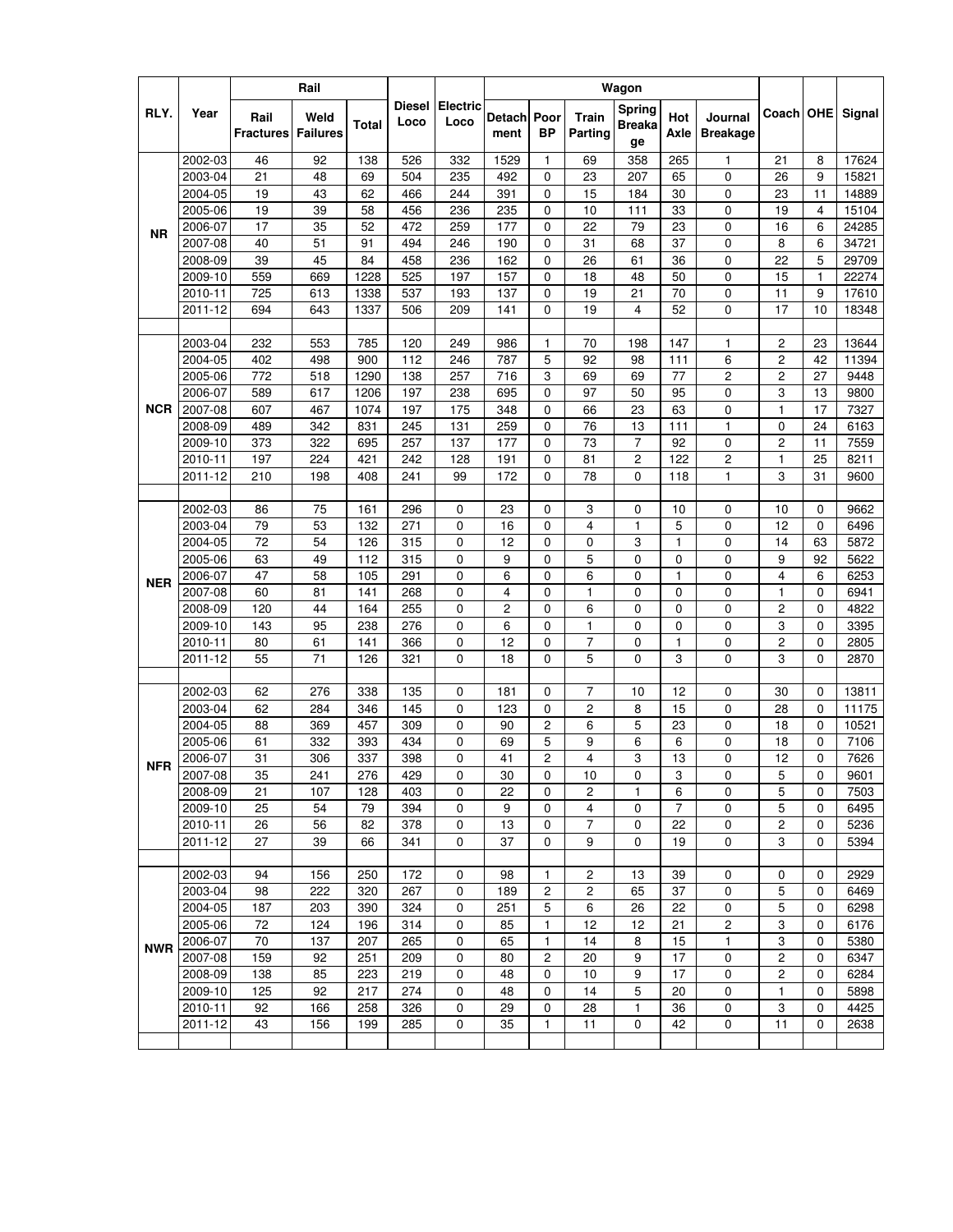|            |                    |                          | Rail                    |              |                       |                         |                |                |                         | Wagon                                |                |                            |                              |              |              |
|------------|--------------------|--------------------------|-------------------------|--------------|-----------------------|-------------------------|----------------|----------------|-------------------------|--------------------------------------|----------------|----------------------------|------------------------------|--------------|--------------|
| RLY.       | Year               | Rail<br><b>Fractures</b> | Weld<br><b>Failures</b> | <b>Total</b> | <b>Diesel</b><br>Loco | <b>Electric</b><br>Loco | Detach<br>ment | Poor<br>ВP     | <b>Train</b><br>Parting | <b>Spring</b><br><b>Breaka</b><br>ge | Hot<br>Axle    | Journal<br><b>Breakage</b> | Coach   OHE                  |              | Signal       |
|            | 2002-03            | 46                       | 92                      | 138          | 526                   | 332                     | 1529           | 1              | 69                      | 358                                  | 265            | 1                          | 21                           | 8            | 17624        |
|            | 2003-04            | 21                       | 48                      | 69           | 504                   | 235                     | 492            | 0              | 23                      | 207                                  | 65             | 0                          | 26                           | 9            | 15821        |
|            | 2004-05            | 19                       | 43                      | 62           | 466                   | 244                     | 391            | 0              | 15                      | 184                                  | 30             | 0                          | 23                           | 11           | 14889        |
|            | 2005-06            | 19                       | 39                      | 58           | 456                   | 236                     | 235            | 0              | 10                      | 111                                  | 33             | 0                          | 19                           | 4            | 15104        |
| <b>NR</b>  | 2006-07            | 17                       | 35                      | 52           | 472                   | 259                     | 177            | 0              | 22                      | 79                                   | 23             | 0                          | 16                           | 6            | 24285        |
|            | 2007-08            | 40                       | 51                      | 91           | 494                   | 246                     | 190            | 0              | 31                      | 68                                   | 37             | 0                          | 8                            | 6            | 34721        |
|            | 2008-09            | 39                       | 45                      | 84           | 458                   | 236                     | 162            | 0              | 26                      | 61                                   | 36             | 0                          | 22                           | 5            | 29709        |
|            | 2009-10            | 559                      | 669                     | 1228         | 525                   | 197                     | 157            | 0              | 18                      | 48                                   | 50             | 0                          | 15                           | $\mathbf{1}$ | 22274        |
|            | 2010-11            | 725                      | 613                     | 1338         | 537                   | 193                     | 137            | 0              | 19                      | 21                                   | 70             | 0                          | 11                           | 9            | 17610        |
|            | 2011-12            | 694                      | 643                     | 1337         | 506                   | 209                     | 141            | $\Omega$       | 19                      | 4                                    | 52             | 0                          | 17                           | 10           | 18348        |
|            |                    |                          |                         |              |                       |                         |                |                |                         |                                      |                |                            |                              |              |              |
|            | 2003-04            | 232                      | 553                     | 785<br>900   | 120<br>112            | 249                     | 986            | 1<br>5         | 70<br>92                | 198                                  | 147            | 1                          | $\overline{c}$               | 23<br>42     | 13644        |
|            | 2004-05<br>2005-06 | 402                      | 498                     | 1290         |                       | 246                     | 787<br>716     | 3              |                         | 98                                   | 111            | 6                          | $\overline{c}$               | 27           | 11394        |
|            | 2006-07            | 772<br>589               | 518<br>617              | 1206         | 138<br>197            | 257<br>238              | 695            | 0              | 69<br>97                | 69<br>50                             | 77<br>95       | 2<br>0                     | $\overline{\mathbf{c}}$<br>3 | 13           | 9448<br>9800 |
| <b>NCR</b> | 2007-08            | 607                      | 467                     | 1074         | 197                   | 175                     | 348            | 0              | 66                      | 23                                   | 63             | 0                          | $\mathbf{1}$                 | 17           | 7327         |
|            | 2008-09            | 489                      | 342                     | 831          | 245                   | 131                     | 259            | 0              | 76                      | 13                                   | 111            | $\mathbf{1}$               | $\mathbf 0$                  | 24           | 6163         |
|            | 2009-10            | 373                      | 322                     | 695          | 257                   | 137                     | 177            | 0              | 73                      | 7                                    | 92             | 0                          | $\overline{c}$               | 11           | 7559         |
|            | 2010-11            | 197                      | 224                     | 421          | 242                   | 128                     | 191            | 0              | 81                      | 2                                    | 122            | 2                          | $\mathbf{1}$                 | 25           | 8211         |
|            | 2011-12            | 210                      | 198                     | 408          | 241                   | 99                      | 172            | $\Omega$       | 78                      | 0                                    | 118            | 1                          | 3                            | 31           | 9600         |
|            |                    |                          |                         |              |                       |                         |                |                |                         |                                      |                |                            |                              |              |              |
|            | 2002-03            | 86                       | 75                      | 161          | 296                   | 0                       | 23             | 0              | 3                       | 0                                    | 10             | 0                          | 10                           | 0            | 9662         |
|            | 2003-04            | 79                       | 53                      | 132          | 271                   | 0                       | 16             | 0              | 4                       | 1                                    | 5              | 0                          | 12                           | 0            | 6496         |
|            | 2004-05            | 72                       | 54                      | 126          | 315                   | 0                       | 12             | 0              | 0                       | 3                                    | $\mathbf{1}$   | 0                          | 14                           | 63           | 5872         |
|            | 2005-06            | 63                       | 49                      | 112          | 315                   | 0                       | 9              | 0              | 5                       | 0                                    | 0              | 0                          | 9                            | 92           | 5622         |
|            | 2006-07            | 47                       | 58                      | 105          | 291                   | 0                       | 6              | 0              | 6                       | 0                                    | $\mathbf{1}$   | 0                          | 4                            | 6            | 6253         |
| <b>NER</b> | 2007-08            | 60                       | 81                      | 141          | 268                   | 0                       | 4              | 0              | 1                       | 0                                    | 0              | 0                          | $\mathbf{1}$                 | 0            | 6941         |
|            | 2008-09            | 120                      | 44                      | 164          | 255                   | 0                       | 2              | 0              | 6                       | 0                                    | 0              | 0                          | $\overline{c}$               | 0            | 4822         |
|            | 2009-10            | 143                      | 95                      | 238          | 276                   | 0                       | 6              | 0              | 1                       | 0                                    | 0              | 0                          | 3                            | $\mathbf 0$  | 3395         |
|            | 2010-11            | 80                       | 61                      | 141          | 366                   | 0                       | 12             | 0              | 7                       | 0                                    | $\mathbf{1}$   | 0                          | $\overline{c}$               | 0            | 2805         |
|            | 2011-12            | 55                       | 71                      | 126          | 321                   | 0                       | 18             | 0              | 5                       | 0                                    | 3              | 0                          | 3                            | 0            | 2870         |
|            |                    |                          |                         |              |                       |                         |                |                |                         |                                      |                |                            |                              |              |              |
|            | 2002-03            | 62                       | 276                     | 338          | 135                   | 0                       | 181            | 0              | $\overline{7}$          | 10                                   | 12             | 0                          | 30                           | 0            | 13811        |
|            | 2003-04            | 62                       | 284                     | 346          | 145                   | 0                       | 123            | 0              | 2                       | 8                                    | 15             | 0                          | 28                           | 0            | 11175        |
|            | 2004-05            | 88                       | 369                     | 457          | 309                   | 0                       | 90             | 2              | 6                       | 5                                    | 23             | 0                          | 18                           | $\mathbf 0$  | 10521        |
|            | 2005-06            | 61                       | 332                     | 393          | 434                   | 0                       | 69             | 5              | 9                       | 6                                    | 6              | 0                          | 18                           | 0            | 7106         |
| <b>NFR</b> | 2006-07            | 31                       | 306                     | 337          | 398                   | 0                       | 41             | $\overline{c}$ | 4                       | 3                                    | 13             | 0                          | 12                           | 0            | 7626         |
|            | 2007-08            | 35                       | 241                     | 276          | 429                   | 0                       | 30             | 0              | 10                      | 0                                    | З              | 0                          | 5                            | 0            | 9601         |
|            | 2008-09            | 21                       | 107                     | 128          | 403                   | 0                       | 22             | 0              | 2                       | $\mathbf{1}$                         | 6              | 0                          | 5                            | 0            | 7503         |
|            | 2009-10            | 25                       | 54                      | 79           | 394                   | 0                       | 9              | 0              | 4                       | 0                                    | $\overline{7}$ | 0                          | 5                            | 0            | 6495         |
|            | 2010-11            | 26                       | 56                      | 82           | 378                   | 0                       | 13             | 0              | 7                       | 0                                    | 22             | 0                          | $\overline{\mathbf{c}}$      | 0            | 5236         |
|            | 2011-12            | 27                       | 39                      | 66           | 341                   | 0                       | 37             | 0              | 9                       | 0                                    | 19             | 0                          | 3                            | 0            | 5394         |
|            | 2002-03            | 94                       | 156                     | 250          | 172                   | 0                       | 98             | 1.             | 2                       | 13                                   | 39             | 0                          | 0                            | 0            | 2929         |
|            | 2003-04            | 98                       | 222                     | 320          | 267                   | 0                       | 189            | $\overline{c}$ | $\overline{c}$          | 65                                   | 37             | 0                          | 5                            | $\mathbf 0$  | 6469         |
|            | 2004-05            | 187                      | 203                     | 390          | 324                   | 0                       | 251            | 5              | 6                       | 26                                   | 22             | 0                          | 5                            | 0            | 6298         |
|            | 2005-06            | 72                       | 124                     | 196          | 314                   | 0                       | 85             | 1              | 12                      | 12                                   | 21             | 2                          | 3                            | 0            | 6176         |
|            | 2006-07            | 70                       | 137                     | 207          | 265                   | 0                       | 65             | 1              | 14                      | 8                                    | 15             | 1                          | 3                            | 0            | 5380         |
| <b>NWR</b> | 2007-08            | 159                      | 92                      | 251          | 209                   | 0                       | 80             | $\overline{c}$ | 20                      | 9                                    | 17             | 0                          | $\sqrt{2}$                   | 0            | 6347         |
|            | 2008-09            | 138                      | 85                      | 223          | 219                   | 0                       | 48             | 0              | 10                      | 9                                    | 17             | 0                          | $\overline{c}$               | 0            | 6284         |
|            | 2009-10            | 125                      | 92                      | 217          | 274                   | 0                       | 48             | 0              | 14                      | 5                                    | 20             | 0                          | 1                            | 0            | 5898         |
|            | 2010-11            | 92                       | 166                     | 258          | 326                   | 0                       | 29             | 0              | 28                      | 1                                    | 36             | 0                          | 3                            | 0            | 4425         |
|            | 2011-12            | 43                       | 156                     | 199          | 285                   | 0                       | 35             | $\mathbf{1}$   | 11                      | 0                                    | 42             | 0                          | 11                           | 0            | 2638         |
|            |                    |                          |                         |              |                       |                         |                |                |                         |                                      |                |                            |                              |              |              |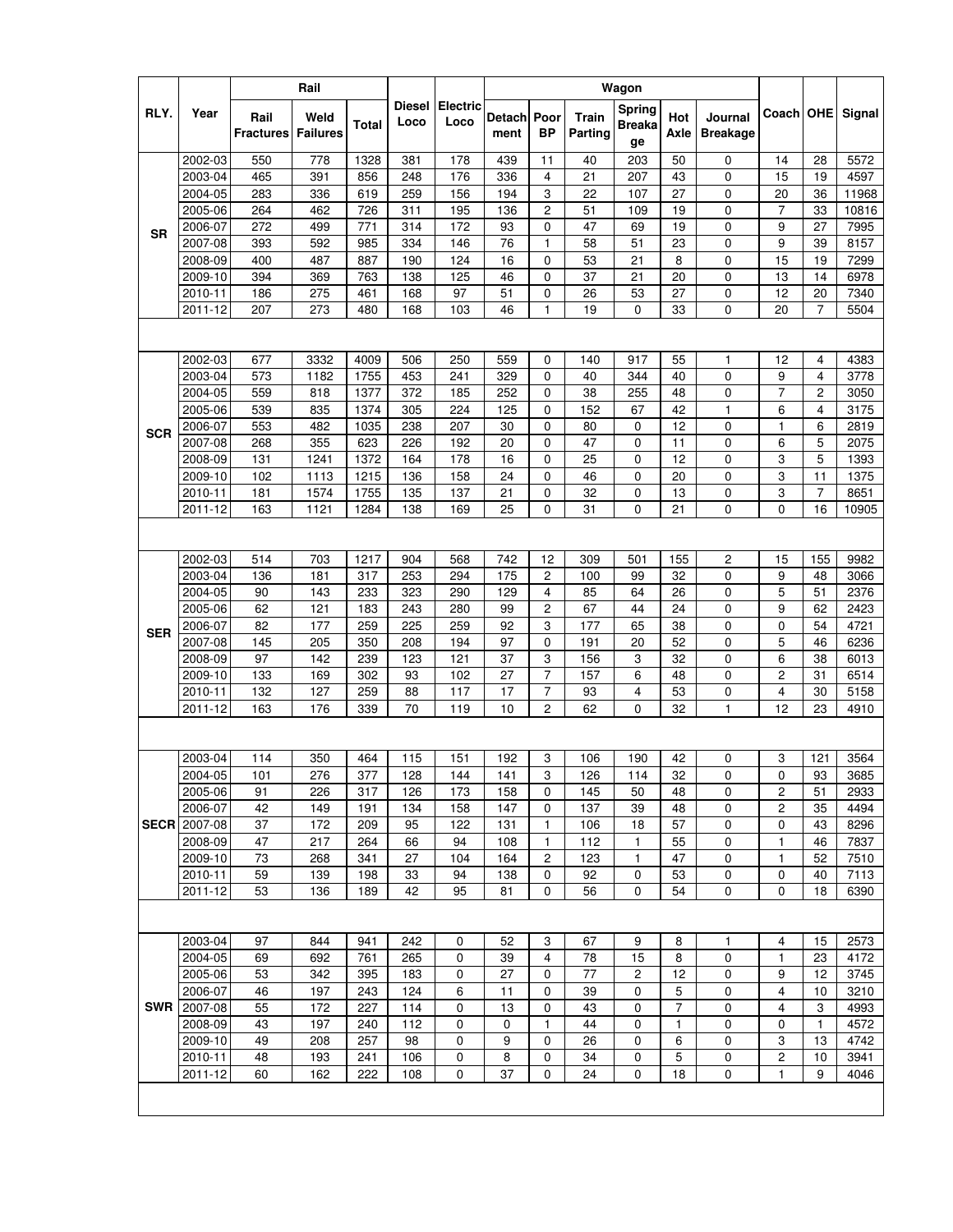|             |         |                          | Rail                    |                  |                       |                         |                |                   |                         | Wagon                         |                |                            |                |                |        |
|-------------|---------|--------------------------|-------------------------|------------------|-----------------------|-------------------------|----------------|-------------------|-------------------------|-------------------------------|----------------|----------------------------|----------------|----------------|--------|
| RLY.        | Year    | Rail<br><b>Fractures</b> | Weld<br><b>Failures</b> | <b>Total</b>     | <b>Diesel</b><br>Loco | <b>Electric</b><br>Loco | Detach<br>ment | Poor<br><b>BP</b> | <b>Train</b><br>Parting | Spring<br><b>Breaka</b><br>ge | Hot<br>Axle    | Journal<br><b>Breakage</b> | Coach   OHE    |                | Signal |
|             | 2002-03 | 550                      | 778                     | 1328             | 381                   | 178                     | 439            | 11                | 40                      | 203                           | 50             | 0                          | 14             | 28             | 5572   |
|             | 2003-04 | 465                      | 391                     | 856              | 248                   | 176                     | 336            | 4                 | 21                      | 207                           | 43             | $\mathbf 0$                | 15             | 19             | 4597   |
|             | 2004-05 | 283                      | 336                     | 619              | 259                   | 156                     | 194            | 3                 | 22                      | 107                           | 27             | 0                          | 20             | 36             | 11968  |
|             | 2005-06 | 264                      | 462                     | 726              | 311                   | 195                     | 136            | 2                 | 51                      | 109                           | 19             | 0                          | $\overline{7}$ | 33             | 10816  |
| <b>SR</b>   | 2006-07 | 272                      | 499                     | 771              | 314                   | 172                     | 93             | 0                 | 47                      | 69                            | 19             | 0                          | 9              | 27             | 7995   |
|             | 2007-08 | 393                      | 592                     | 985              | 334                   | 146                     | 76             | 1                 | 58                      | 51                            | 23             | 0                          | 9              | 39             | 8157   |
|             | 2008-09 | 400                      | 487                     | 887              | 190                   | 124                     | 16             | 0                 | 53                      | 21                            | 8              | 0                          | 15             | 19             | 7299   |
|             | 2009-10 | 394                      | 369                     | 763              | 138                   | 125                     | 46             | 0                 | 37                      | 21                            | 20             | 0                          | 13             | 14             | 6978   |
|             | 2010-11 | 186                      | 275                     | 461              | 168                   | 97                      | 51             | 0                 | 26                      | 53                            | 27             | 0                          | 12             | 20             | 7340   |
|             | 2011-12 | 207                      | 273                     | 480              | 168                   | 103                     | 46             | 1                 | 19                      | 0                             | 33             | 0                          | 20             | 7              | 5504   |
|             |         |                          |                         |                  |                       |                         |                |                   |                         |                               |                |                            |                |                |        |
|             | 2002-03 | 677                      | 3332                    | 4009             | 506                   | 250                     | 559            | 0                 | 140                     | 917                           | 55             | $\mathbf{1}$               | 12             | 4              | 4383   |
|             | 2003-04 | 573                      | 1182                    | 1755             | 453                   | 241                     | 329            | 0                 | 40                      | 344                           | 40             | 0                          | 9              | 4              | 3778   |
|             | 2004-05 | 559                      | 818                     | 1377             | 372                   | 185                     | 252            | 0                 | 38                      | 255                           | 48             | 0                          | 7              | 2              | 3050   |
|             | 2005-06 | 539                      | 835                     | 1374             | 305                   | 224                     | 125            | 0                 | 152                     | 67                            | 42             | $\mathbf{1}$               | 6              | 4              | 3175   |
|             | 2006-07 | 553                      | 482                     | 1035             | 238                   | 207                     | 30             | 0                 | 80                      | 0                             | 12             | 0                          | $\mathbf{1}$   | 6              | 2819   |
| <b>SCR</b>  | 2007-08 | 268                      | 355                     | 623              | 226                   | 192                     | 20             | 0                 | 47                      | 0                             | 11             | 0                          | 6              | 5              | 2075   |
|             | 2008-09 | 131                      | 1241                    | 1372             | 164                   | 178                     | 16             | 0                 | 25                      | 0                             | 12             | 0                          | 3              | 5              | 1393   |
|             | 2009-10 | 102                      | 1113                    | 1215             | 136                   | 158                     | 24             | 0                 | 46                      | 0                             | 20             | 0                          | 3              | 11             | 1375   |
|             | 2010-11 | 181                      | 1574                    | 1755             | 135                   | 137                     | 21             | 0                 | 32                      | 0                             | 13             | 0                          | 3              | $\overline{7}$ | 8651   |
|             | 2011-12 | 163                      | 1121                    | 1284             | 138                   | 169                     | 25             | 0                 | 31                      | 0                             | 21             | 0                          | $\mathbf 0$    | 16             | 10905  |
|             |         |                          |                         |                  |                       |                         |                |                   |                         |                               |                |                            |                |                |        |
|             | 2002-03 | 514                      | 703                     | 1217             | 904                   | 568                     | 742            | 12                | 309                     | 501                           | 155            | $\overline{\mathbf{c}}$    | 15             | 155            | 9982   |
|             | 2003-04 | 136                      | 181                     | 317              | 253                   | 294                     | 175            | 2                 | 100                     | 99                            | 32             | 0                          | 9              | 48             | 3066   |
|             | 2004-05 | 90                       | 143                     | 233              | 323                   | 290                     | 129            | 4                 | 85                      | 64                            | 26             | 0                          | 5              | 51             | 2376   |
|             | 2005-06 | 62                       | 121                     | 183              | 243                   | 280                     | 99             | 2                 | 67                      | 44                            | 24             | 0                          | 9              | 62             | 2423   |
| <b>SER</b>  | 2006-07 | 82                       | 177                     | 259              | 225                   | 259                     | 92             | 3                 | 177                     | 65                            | 38             | 0                          | $\mathbf 0$    | 54             | 4721   |
|             | 2007-08 | 145                      | 205                     | 350              | 208                   | 194                     | 97             | 0                 | 191                     | 20                            | 52             | 0                          | 5              | 46             | 6236   |
|             | 2008-09 | 97                       | 142                     | 239              | 123                   | 121                     | 37             | 3                 | 156                     | 3                             | 32             | 0                          | 6              | 38             | 6013   |
|             | 2009-10 | 133                      | 169                     | 302              | 93                    | 102                     | 27             | 7                 | 157                     | 6                             | 48             | 0                          | $\overline{c}$ | 31             | 6514   |
|             | 2010-11 | 132                      | 127                     | 259              | 88                    | 117                     | 17             | 7                 | 93                      | 4                             | 53             | 0                          | 4              | 30             | 5158   |
|             | 2011-12 | 163                      | 176                     | 339              | 70                    | 119                     | 10             | $\overline{c}$    | 62                      | 0                             | 32             | $\mathbf{1}$               | 12             | 23             | 4910   |
|             |         |                          |                         |                  |                       |                         |                |                   |                         |                               |                |                            |                |                |        |
|             | 2003-04 | 114                      | 350                     | 464              | 115                   | 151                     | 192            | 3                 | 106                     | 190                           | 42             | 0                          | 3              | 121            | 3564   |
|             | 2004-05 | 101                      | 276                     | $\overline{377}$ | 128                   | 144                     | 141            | 3                 | 126                     | 114                           | 32             | $\pmb{0}$                  | 0              | 93             | 3685   |
|             | 2005-06 | 91                       | 226                     | 317              | 126                   | 173                     | 158            | $\Omega$          | 145                     | 50                            | 48             | $\mathbf 0$                | $\overline{c}$ | 51             | 2933   |
|             | 2006-07 | 42                       | 149                     | 191              | 134                   | 158                     | 147            | $\mathbf 0$       | 137                     | 39                            | 48             | 0                          | $\overline{c}$ | 35             | 4494   |
| <b>SECR</b> | 2007-08 | 37                       | 172                     | 209              | 95                    | 122                     | 131            | 1                 | 106                     | 18                            | 57             | 0                          | 0              | 43             | 8296   |
|             | 2008-09 | 47                       | 217                     | 264              | 66                    | 94                      | 108            | 1                 | 112                     | 1                             | 55             | 0                          | 1              | 46             | 7837   |
|             | 2009-10 | 73                       | 268                     | 341              | 27                    | 104                     | 164            | $\overline{c}$    | 123                     | 1                             | 47             | 0                          | $\mathbf{1}$   | 52             | 7510   |
|             | 2010-11 | 59                       | 139                     | 198              | 33                    | 94                      | 138            | $\mathbf 0$       | 92                      | 0                             | 53             | 0                          | $\mathbf 0$    | 40             | 7113   |
|             | 2011-12 | 53                       | 136                     | 189              | 42                    | 95                      | 81             | 0                 | 56                      | 0                             | 54             | 0                          | $\mathbf 0$    | 18             | 6390   |
|             |         |                          |                         |                  |                       |                         |                |                   |                         |                               |                |                            |                |                |        |
|             | 2003-04 | 97                       | 844                     | 941              | 242                   | 0                       | 52             | 3                 | 67                      | 9                             | 8              | 1                          | 4              | 15             | 2573   |
|             | 2004-05 | 69                       | 692                     | 761              | 265                   | 0                       | 39             | 4                 | 78                      | 15                            | 8              | 0                          | $\mathbf{1}$   | 23             | 4172   |
|             | 2005-06 | 53                       | 342                     | 395              | 183                   | 0                       | 27             | 0                 | 77                      | 2                             | 12             | 0                          | 9              | 12             | 3745   |
|             | 2006-07 | 46                       | 197                     | 243              | 124                   | 6                       | 11             | 0                 | 39                      | 0                             | 5              | 0                          | 4              | 10             | 3210   |
| SWR         | 2007-08 | 55                       | 172                     | 227              | 114                   | 0                       | 13             | 0                 | 43                      | 0                             | $\overline{7}$ | 0                          | $\overline{4}$ | 3              | 4993   |
|             | 2008-09 | 43                       | 197                     | 240              | 112                   | 0                       | 0              | 1                 | 44                      | 0                             | 1              | 0                          | $\mathbf 0$    | 1              | 4572   |
|             | 2009-10 | 49                       | 208                     | 257              | 98                    | 0                       | 9              | $\mathbf 0$       | 26                      | 0                             | 6              | 0                          | 3              | 13             | 4742   |
|             | 2010-11 | 48                       | 193                     | 241              | 106                   | 0                       | 8              | 0                 | 34                      | 0                             | 5              | 0                          | $\overline{c}$ | 10             | 3941   |
|             | 2011-12 | 60                       | 162                     | 222              | 108                   | 0                       | 37             | $\mathbf 0$       | 24                      | 0                             | 18             | 0                          | $\mathbf{1}$   | 9              | 4046   |
|             |         |                          |                         |                  |                       |                         |                |                   |                         |                               |                |                            |                |                |        |